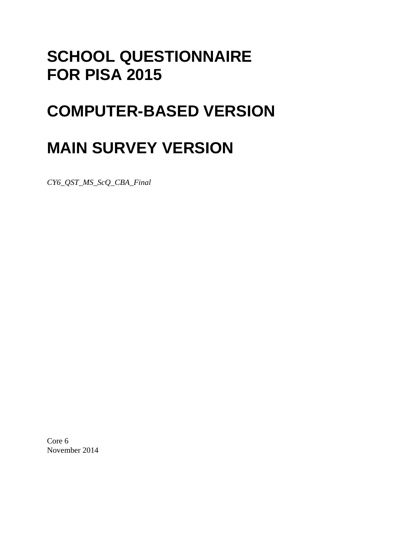## **SCHOOL QUESTIONNAIRE FOR PISA 2015**

# **COMPUTER-BASED VERSION**

# **MAIN SURVEY VERSION**

*CY6\_QST\_MS\_ScQ\_CBA\_Final* 

Core 6 November 2014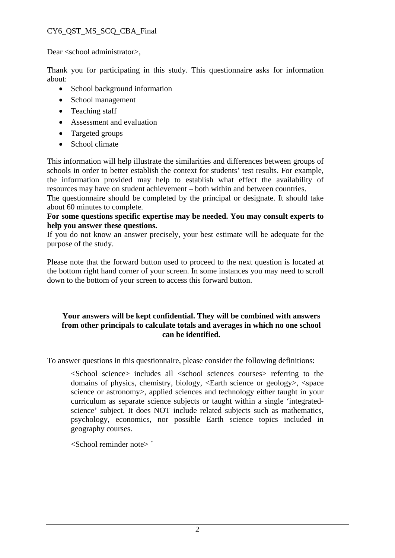#### CY6\_QST\_MS\_SCQ\_CBA\_Final

Dear <school administrator>,

Thank you for participating in this study. This questionnaire asks for information about:

- School background information
- School management
- Teaching staff
- Assessment and evaluation
- Targeted groups
- School climate

This information will help illustrate the similarities and differences between groups of schools in order to better establish the context for students' test results. For example, the information provided may help to establish what effect the availability of resources may have on student achievement – both within and between countries.

The questionnaire should be completed by the principal or designate. It should take about 60 minutes to complete.

#### **For some questions specific expertise may be needed. You may consult experts to help you answer these questions.**

If you do not know an answer precisely, your best estimate will be adequate for the purpose of the study.

Please note that the forward button used to proceed to the next question is located at the bottom right hand corner of your screen. In some instances you may need to scroll down to the bottom of your screen to access this forward button.

#### **Your answers will be kept confidential. They will be combined with answers from other principals to calculate totals and averages in which no one school can be identified.**

To answer questions in this questionnaire, please consider the following definitions:

<School science> includes all <school sciences courses> referring to the domains of physics, chemistry, biology, <Earth science or geology>, <space science or astronomy>, applied sciences and technology either taught in your curriculum as separate science subjects or taught within a single 'integratedscience' subject. It does NOT include related subjects such as mathematics, psychology, economics, nor possible Earth science topics included in geography courses.

<School reminder note> ´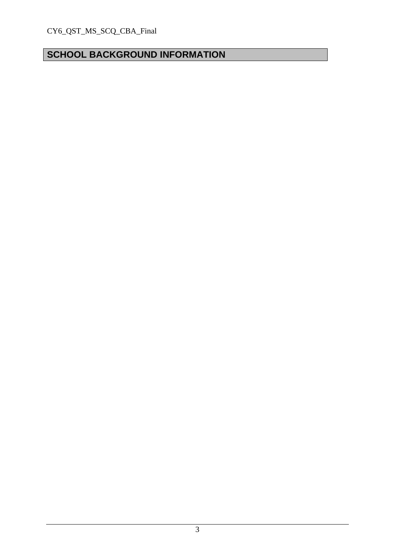## **SCHOOL BACKGROUND INFORMATION**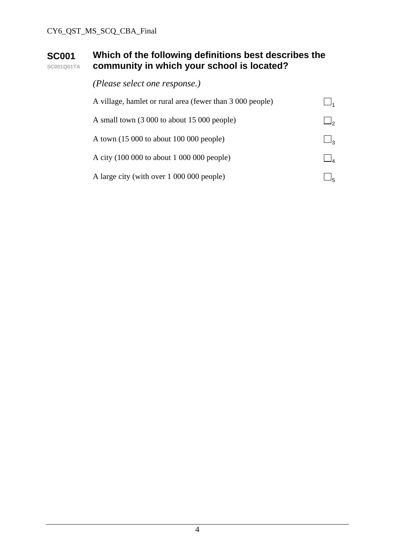#### **SC001 SC001Q01TA Which of the following definitions best describes the community in which your school is located?**

| (Please select one response.)                             |          |
|-----------------------------------------------------------|----------|
| A village, hamlet or rural area (fewer than 3 000 people) |          |
| A small town (3 000 to about 15 000 people)               |          |
| A town $(15\ 000\$ to about $100\ 000\$ people)           | $\Box_3$ |
| A city (100 000 to about 1 000 000 people)                |          |
| A large city (with over 1 000 000 people)                 |          |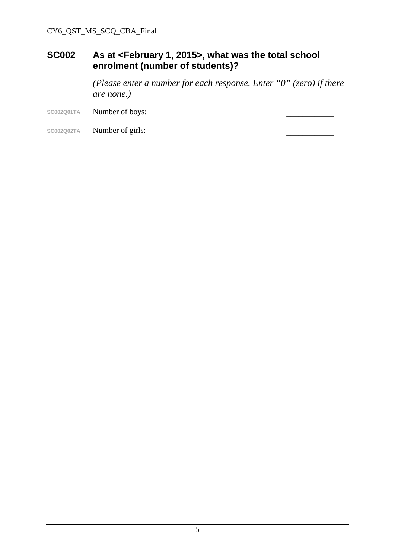#### **SC002 As at <February 1, 2015>, what was the total school enrolment (number of students)?**

 *(Please enter a number for each response. Enter "0" (zero) if there are none.)* 

- SC002Q01TA **Number of boys:**
- SC002Q02TA **Number of girls:**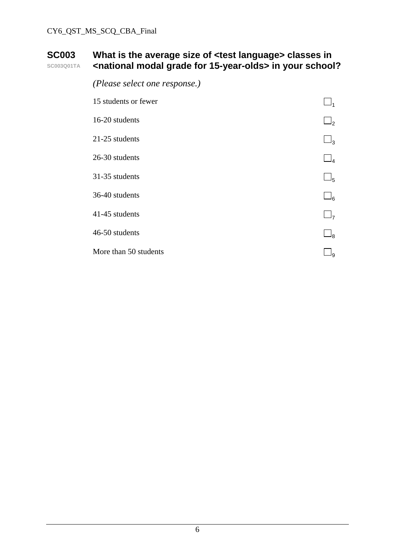#### **SC003 SC003Q01TA What is the average size of <test language> classes in <national modal grade for 15-year-olds> in your school?**

| (Please select one response.) |          |
|-------------------------------|----------|
| 15 students or fewer          |          |
| 16-20 students                | $\Box_2$ |
| 21-25 students                | $\Box_3$ |
| 26-30 students                | $\Box_4$ |
| 31-35 students                | $\Box_5$ |
| 36-40 students                | $\Box_6$ |
| 41-45 students                | $\Box_7$ |
| 46-50 students                | $\Box_8$ |
| More than 50 students         | ١q       |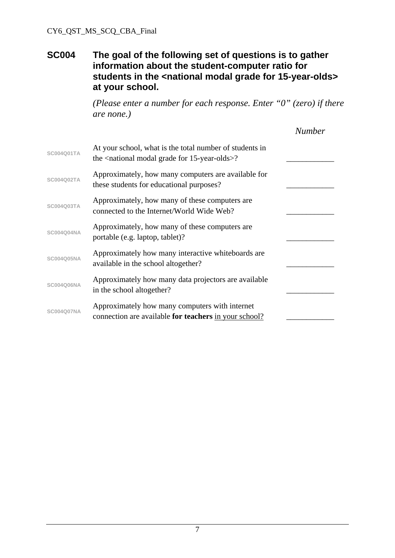#### **SC004 The goal of the following set of questions is to gather information about the student-computer ratio for**  students in the <national modal grade for 15-year-olds> **at your school.**

*(Please enter a number for each response. Enter "0" (zero) if there are none.)*

|                   |                                                                                                                                | <b>Number</b> |
|-------------------|--------------------------------------------------------------------------------------------------------------------------------|---------------|
| SC004Q01TA        | At your school, what is the total number of students in<br>the <national 15-year-olds="" for="" grade="" modal="">?</national> |               |
| SC004Q02TA        | Approximately, how many computers are available for<br>these students for educational purposes?                                |               |
| SC004Q03TA        | Approximately, how many of these computers are.<br>connected to the Internet/World Wide Web?                                   |               |
| <b>SC004Q04NA</b> | Approximately, how many of these computers are<br>portable (e.g. laptop, tablet)?                                              |               |
| <b>SC004Q05NA</b> | Approximately how many interactive whiteboards are<br>available in the school altogether?                                      |               |
| <b>SC004Q06NA</b> | Approximately how many data projectors are available<br>in the school altogether?                                              |               |
| <b>SC004Q07NA</b> | Approximately how many computers with internet<br>connection are available for teachers in your school?                        |               |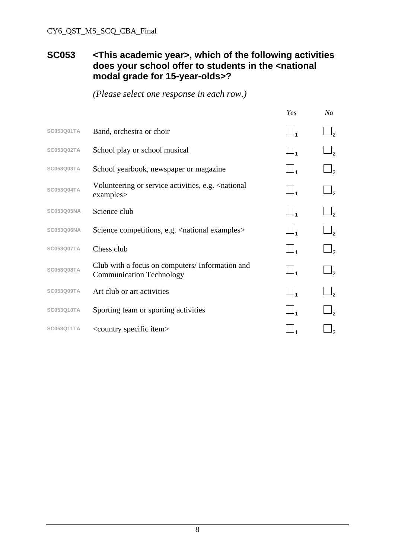#### CY6\_QST\_MS\_SCQ\_CBA\_Final

#### **SC053 <This academic year>, which of the following activities**  does your school offer to students in the <national **modal grade for 15-year-olds>?**

|                   |                                                                                   | Yes      | $N_{O}$        |
|-------------------|-----------------------------------------------------------------------------------|----------|----------------|
| <b>SC053Q01TA</b> | Band, orchestra or choir                                                          |          |                |
| <b>SC053Q02TA</b> | School play or school musical                                                     |          |                |
| SC053Q03TA        | School yearbook, newspaper or magazine                                            | $\Box_1$ |                |
| SC053Q04TA        | Volunteering or service activities, e.g. < national<br>examples                   | $\Box_1$ | $\mathsf{I}_2$ |
| <b>SC053Q05NA</b> | Science club                                                                      | $\Box_1$ |                |
| <b>SC053Q06NA</b> | Science competitions, e.g. < national examples>                                   |          |                |
| <b>SC053Q07TA</b> | Chess club                                                                        | $\Box_1$ | $I_2$          |
| <b>SC053Q08TA</b> | Club with a focus on computers/Information and<br><b>Communication Technology</b> | $\Box_1$ | J,             |
| <b>SC053Q09TA</b> | Art club or art activities                                                        |          |                |
| <b>SC053Q10TA</b> | Sporting team or sporting activities                                              |          |                |
| SC053Q11TA        | <country item="" specific=""></country>                                           |          |                |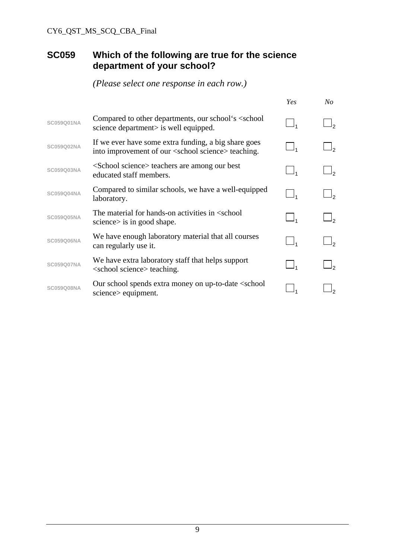### **SC059 Which of the following are true for the science department of your school?**

|                   |                                                                                                                        | Yes | No             |
|-------------------|------------------------------------------------------------------------------------------------------------------------|-----|----------------|
| SC059Q01NA        | Compared to other departments, our school's <school<br>science department&gt; is well equipped.</school<br>            |     | وا             |
| SC059Q02NA        | If we ever have some extra funding, a big share goes<br>into improvement of our <school science=""> teaching.</school> |     | J <sub>2</sub> |
| SC059Q03NA        | <school science=""> teachers are among our best<br/>educated staff members.</school>                                   |     | J,             |
| <b>SC059Q04NA</b> | Compared to similar schools, we have a well-equipped<br>laboratory.                                                    |     | را             |
| <b>SC059Q05NA</b> | The material for hands-on activities in <school<br>science is in good shape.</school<br>                               |     | J,             |
| <b>SC059Q06NA</b> | We have enough laboratory material that all courses<br>can regularly use it.                                           |     |                |
| <b>SC059Q07NA</b> | We have extra laboratory staff that helps support<br><school science=""> teaching.</school>                            |     | را             |
| <b>SC059Q08NA</b> | Our school spends extra money on up-to-date <school<br>science&gt; equipment.</school<br>                              |     |                |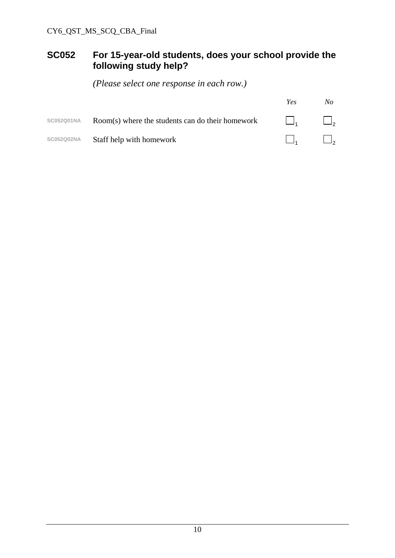### **SC052 For 15-year-old students, does your school provide the following study help?**

|                   |                                                    | Yes          | No       |
|-------------------|----------------------------------------------------|--------------|----------|
| SC052Q01NA        | $Room(s)$ where the students can do their homework | $\mathbf{L}$ | $\Box$   |
| <b>SC052Q02NA</b> | Staff help with homework                           |              | $\Box$ , |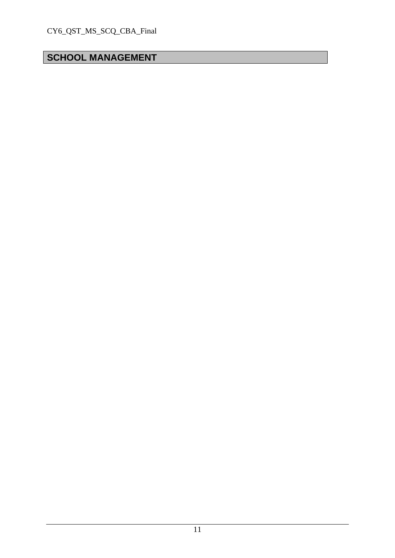## **SCHOOL MANAGEMENT**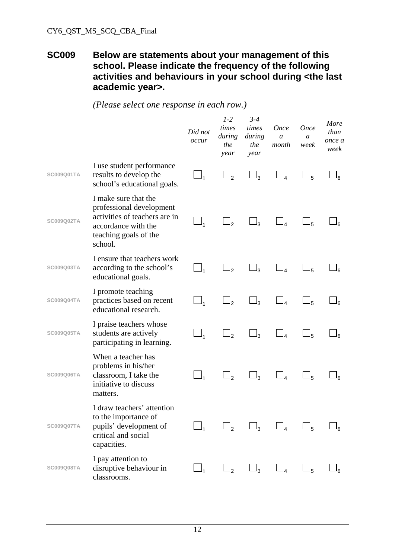#### **SC009 Below are statements about your management of this school. Please indicate the frequency of the following activities and behaviours in your school during <the last academic year>.**

|                   |                                                                                                                                              | Did not<br>occur    | $1 - 2$<br>times<br>during<br>the<br>year | $3 - 4$<br>times<br>during<br>the<br>year | <b>Once</b><br>a<br>month | <b>Once</b><br>a<br>week | More<br>than<br>once a<br>week |
|-------------------|----------------------------------------------------------------------------------------------------------------------------------------------|---------------------|-------------------------------------------|-------------------------------------------|---------------------------|--------------------------|--------------------------------|
| SC009Q01TA        | I use student performance<br>results to develop the<br>school's educational goals.                                                           | $\Box_1$            | $\sqcup$                                  | $\Box_3$                                  | $\Box_4$                  | $\sqcup_{5}$             | Ιم                             |
| <b>SC009Q02TA</b> | I make sure that the<br>professional development<br>activities of teachers are in<br>accordance with the<br>teaching goals of the<br>school. | $\Box_1$            | $\Box$ <sub>2</sub>                       | $\Box_3$                                  | $\Box_4$                  | $\Box_5$                 | Ρ۵                             |
| SC009Q03TA        | I ensure that teachers work<br>according to the school's<br>educational goals.                                                               |                     | __ 2                                      | $\Box_3$                                  | $\sqcup_4$                | $\Box_5$                 |                                |
| SC009Q04TA        | I promote teaching<br>practices based on recent<br>educational research.                                                                     | $\Box_1$            | $\Box$                                    | $\Box_3$                                  | $\Box_4$                  | $\sqcup_{5}$             |                                |
| SC009Q05TA        | I praise teachers whose<br>students are actively<br>participating in learning.                                                               | $\Box$ <sub>1</sub> | $\Box$                                    | $\Box_3$                                  | $\Box_4$                  | $\sqcup_{5}$             | ۹۵                             |
| <b>SC009Q06TA</b> | When a teacher has<br>problems in his/her<br>classroom, I take the<br>initiative to discuss<br>matters.                                      | $\Box$              | $\Box$ <sub>2</sub>                       | $\Box_3$                                  | $\Box_4$                  | $\Box_5$                 |                                |
| SC009Q07TA        | I draw teachers' attention<br>to the importance of<br>pupils' development of<br>critical and social<br>capacities.                           | $\Box_1$            | $\Box_2$                                  | $\Box_3$                                  | $\Box_4$                  | $\Box_5$                 | 6                              |
| SC009Q08TA        | I pay attention to<br>disruptive behaviour in<br>classrooms.                                                                                 | $\Box_1$            | $\Box_2$                                  | $\Box_3$                                  | $\Box_4$                  | $\square_5$              | ەك                             |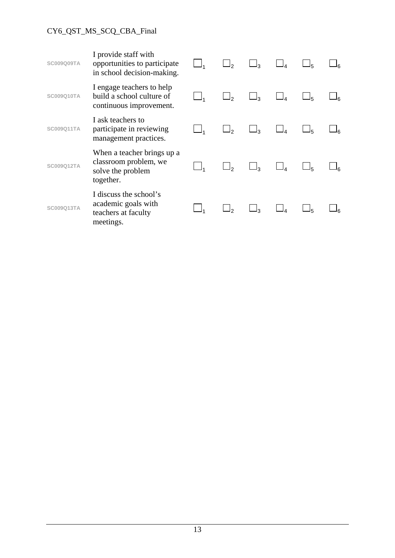#### CY6\_QST\_MS\_SCQ\_CBA\_Final

| <b>SC009Q09TA</b> | I provide staff with<br>opportunities to participate<br>in school decision-making.    | $\sqcup$ <sub>2</sub> | $\Box_3$ | $\Box_5$ |  |
|-------------------|---------------------------------------------------------------------------------------|-----------------------|----------|----------|--|
| SC009Q10TA        | I engage teachers to help<br>build a school culture of<br>continuous improvement.     | $\Box_2$              | $\Box_3$ | $\Box_5$ |  |
| SC009Q11TA        | I ask teachers to<br>participate in reviewing<br>management practices.                |                       |          | $\Box_5$ |  |
| SC009Q12TA        | When a teacher brings up a<br>classroom problem, we<br>solve the problem<br>together. |                       |          | 5 آ      |  |
| SC009Q13TA        | I discuss the school's<br>academic goals with<br>teachers at faculty<br>meetings.     |                       |          |          |  |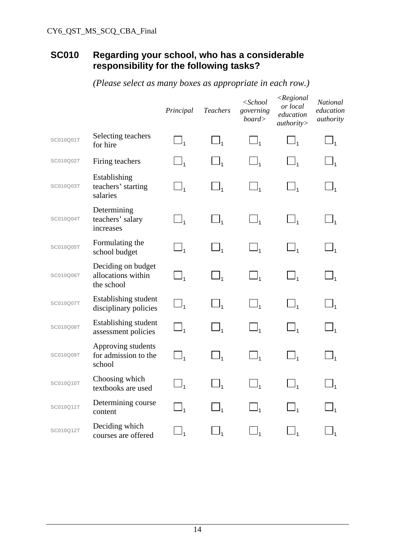### **SC010 Regarding your school, who has a considerable responsibility for the following tasks?**

*(Please select as many boxes as appropriate in each row.)* 

|                  |                                                        | Principal                      | <b>Teachers</b> | $<$ School<br>governing<br>board> | $\leq$ Regional<br>or local<br>education<br>authority | National<br>education<br>authority |
|------------------|--------------------------------------------------------|--------------------------------|-----------------|-----------------------------------|-------------------------------------------------------|------------------------------------|
| SC010Q01T        | Selecting teachers<br>for hire                         | $\Box$                         | $\Box$          | $\Box_1$                          | $\Box_1$                                              | $\Box_1$                           |
| SC010Q02T        | Firing teachers                                        | $\Box_1$                       | $\Box_1$        | $\Box_1$                          | $\Box_1$                                              | $\Box_1$                           |
| SC010Q03T        | Establishing<br>teachers' starting<br>salaries         | $\Box_1$                       | $\Box_1$        | $\Box_1$                          | $\Box_1$                                              | $\Box_1$                           |
| SC010Q04T        | Determining<br>teachers' salary<br>increases           | $\Box_1$                       | $\Box_1$        | $\Box_1$                          | $\Box_1$                                              | $\Box_1$                           |
| SC010Q05T        | Formulating the<br>school budget                       | $\Box_1$                       | $\Box_1$        | $\Box_1$                          | $\Box_1$                                              | $\Box_1$                           |
| <b>SC010Q06T</b> | Deciding on budget<br>allocations within<br>the school | $\Box_{\scriptscriptstyle{1}}$ | $\Box_1$        | $\Box_{\scriptscriptstyle{1}}$    | $\square_{1}$                                         | $\Box_1$                           |
| SC010Q07T        | Establishing student<br>disciplinary policies          | $\Box_1$                       | $\Box_1$        | $\Box_1$                          | $\Box_1$                                              | $\Box_1$                           |
| <b>SC010Q08T</b> | Establishing student<br>assessment policies            | $\Box_1$                       | $\Box_1$        | $\Box_1$                          | $\Box_1$                                              | $\Box_1$                           |
| SC010Q09T        | Approving students<br>for admission to the<br>school   | $\Box_1$                       | $\Box_1$        | $\Box_1$                          | $\Box_1$                                              | $\Box_1$                           |
| SC010Q10T        | Choosing which<br>textbooks are used                   | $\sqcup$                       | $\Box_1$        | $\Box_1$                          | $\Box_1$                                              | $\Box_1$                           |
| SC010Q11T        | Determining course<br>content                          | $\Box$                         | $\Box_1$        | $\Box_1$                          | $\Box_1$                                              | $\Box_1$                           |
| SC010Q12T        | Deciding which<br>courses are offered                  | $\Box_1$                       | $\_$            | $\Box_1$                          |                                                       |                                    |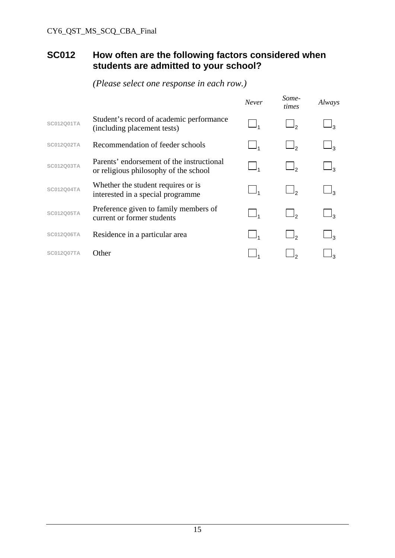#### **SC012 How often are the following factors considered when students are admitted to your school?**

|                   |                                                                                    | <b>Never</b> | Some-<br>times | Always |
|-------------------|------------------------------------------------------------------------------------|--------------|----------------|--------|
| <b>SC012Q01TA</b> | Student's record of academic performance<br>(including placement tests)            |              |                |        |
| <b>SC012Q02TA</b> | Recommendation of feeder schools                                                   |              |                |        |
| <b>SC012Q03TA</b> | Parents' endorsement of the instructional<br>or religious philosophy of the school |              |                |        |
| <b>SC012Q04TA</b> | Whether the student requires or is<br>interested in a special programme            |              |                |        |
| <b>SC012Q05TA</b> | Preference given to family members of<br>current or former students                |              |                |        |
| <b>SC012Q06TA</b> | Residence in a particular area                                                     |              |                |        |
| SC012Q07TA        | Other                                                                              |              |                |        |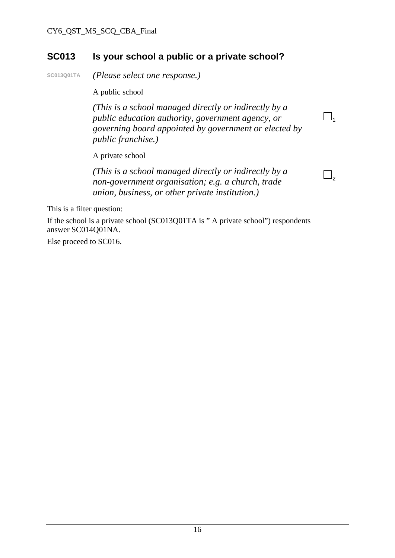### **SC013 Is your school a public or a private school?**

**SC013Q01TA** *(Please select one response.)* 

A public school

*(This is a school managed directly or indirectly by a public education authority, government agency, or governing board appointed by government or elected by public franchise.)* 

 $\Box$ <sub>1</sub>

 $\Box$ ,

A private school

*(This is a school managed directly or indirectly by a non-government organisation; e.g. a church, trade union, business, or other private institution.)* 

This is a filter question:

If the school is a private school (SC013Q01TA is " A private school") respondents answer SC014Q01NA.

Else proceed to SC016.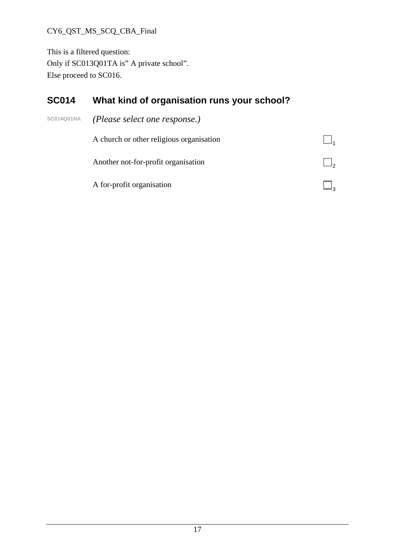#### CY6\_QST\_MS\_SCQ\_CBA\_Final

This is a filtered question: Only if SC013Q01TA is" A private school". Else proceed to SC016.

## **SC014 What kind of organisation runs your school?**

| <b>SC014Q01NA</b> | (Please select one response.)            |  |
|-------------------|------------------------------------------|--|
|                   | A church or other religious organisation |  |
|                   | Another not-for-profit organisation      |  |
|                   | A for-profit organisation                |  |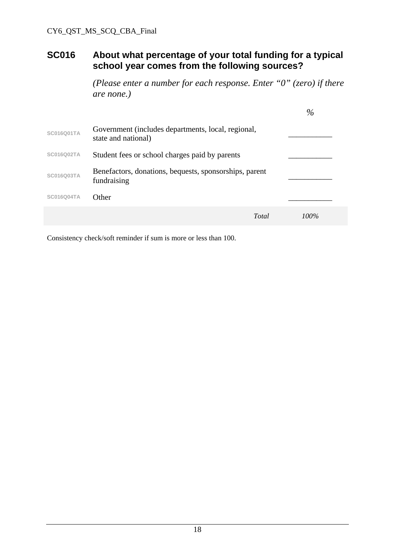#### **SC016 About what percentage of your total funding for a typical school year comes from the following sources?**

*(Please enter a number for each response. Enter "0" (zero) if there are none.)* 

|                   |                                                                           | $\%$    |
|-------------------|---------------------------------------------------------------------------|---------|
| <b>SC016Q01TA</b> | Government (includes departments, local, regional,<br>state and national) |         |
| <b>SC016Q02TA</b> | Student fees or school charges paid by parents                            |         |
| <b>SC016Q03TA</b> | Benefactors, donations, bequests, sponsorships, parent<br>fundraising     |         |
| <b>SC016Q04TA</b> | Other                                                                     |         |
|                   | Total                                                                     | $100\%$ |

Consistency check/soft reminder if sum is more or less than 100.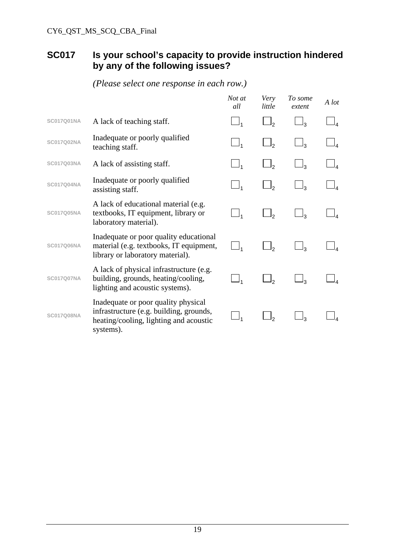## **SC017 Is your school's capacity to provide instruction hindered by any of the following issues?**

|                   |                                                                                                                                       | Not at<br>all | Very<br>little | To some<br>extent | A lot |
|-------------------|---------------------------------------------------------------------------------------------------------------------------------------|---------------|----------------|-------------------|-------|
| <b>SC017Q01NA</b> | A lack of teaching staff.                                                                                                             | $\Box_1$      | $\Box_2$       | $\mathsf{l}_3$    |       |
| <b>SC017Q02NA</b> | Inadequate or poorly qualified<br>teaching staff.                                                                                     |               |                | $\mathsf{l}_3$    |       |
| <b>SC017Q03NA</b> | A lack of assisting staff.                                                                                                            |               |                | $\Box_3$          |       |
| <b>SC017Q04NA</b> | Inadequate or poorly qualified<br>assisting staff.                                                                                    |               | $\Box$         | $\Box_3$          |       |
| <b>SC017Q05NA</b> | A lack of educational material (e.g.<br>textbooks, IT equipment, library or<br>laboratory material).                                  |               | ەل             | $\mathsf{l}_3$    |       |
| <b>SC017Q06NA</b> | Inadequate or poor quality educational<br>material (e.g. textbooks, IT equipment,<br>library or laboratory material).                 |               | ط              | ج ا               |       |
| <b>SC017Q07NA</b> | A lack of physical infrastructure (e.g.<br>building, grounds, heating/cooling,<br>lighting and acoustic systems).                     |               |                |                   |       |
| <b>SC017Q08NA</b> | Inadequate or poor quality physical<br>infrastructure (e.g. building, grounds,<br>heating/cooling, lighting and acoustic<br>systems). |               | را             | ړل                |       |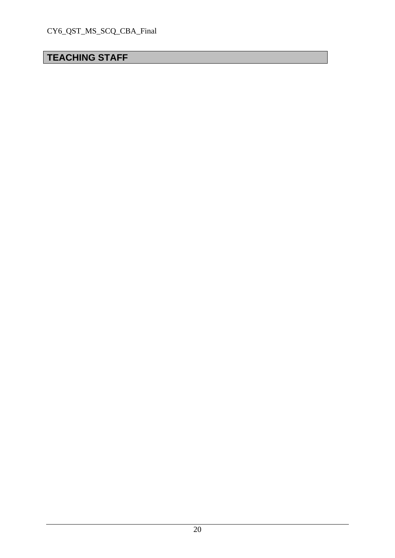## **TEACHING STAFF**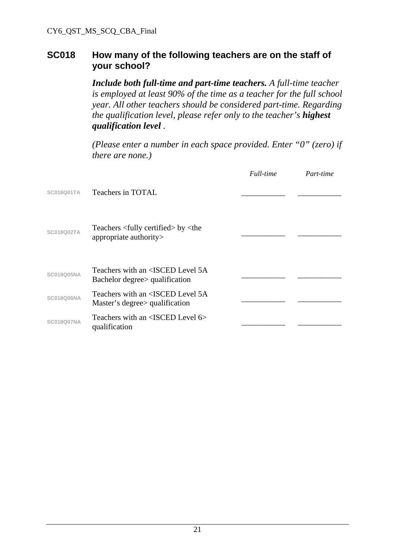#### **SC018 How many of the following teachers are on the staff of your school?**

*Include both full-time and part-time teachers. A full-time teacher is employed at least 90% of the time as a teacher for the full school year. All other teachers should be considered part-time. Regarding the qualification level, please refer only to the teacher's highest qualification level .* 

*(Please enter a number in each space provided. Enter "0" (zero) if there are none.)* 

|                   |                                                                                      | Full-time | Part-time |
|-------------------|--------------------------------------------------------------------------------------|-----------|-----------|
| <b>SC018Q01TA</b> | Teachers in TOTAL                                                                    |           |           |
| <b>SC018Q02TA</b> | Teachers <fully certified=""> by <the<br>appropriate authority&gt;</the<br></fully>  |           |           |
| <b>SC018Q05NA</b> | Teachers with an <isced 5a<br="" level="">Bachelor degree &gt; qualification</isced> |           |           |
| <b>SC018Q06NA</b> | Teachers with an <isced 5a<br="" level="">Master's degree &gt; qualification</isced> |           |           |
| SC018O07NA        | Teachers with an $\leq$ ISCED Level 6><br>qualification                              |           |           |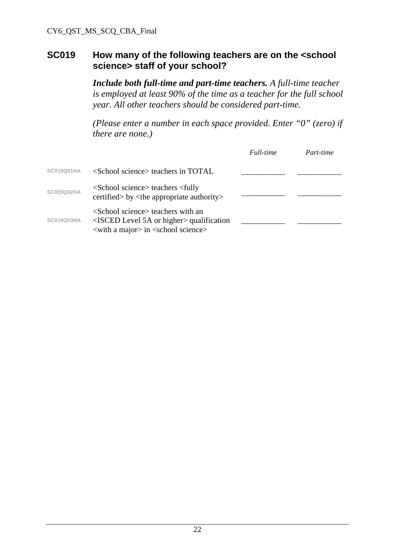#### **SC019 How many of the following teachers are on the <school science> staff of your school?**

*Include both full-time and part-time teachers. A full-time teacher is employed at least 90% of the time as a teacher for the full school year. All other teachers should be considered part-time.* 

*(Please enter a number in each space provided. Enter "0" (zero) if there are none.)* 

|                   |                                                                                                                                                                                             | Full-time | Part-time |
|-------------------|---------------------------------------------------------------------------------------------------------------------------------------------------------------------------------------------|-----------|-----------|
| <b>SC019Q01NA</b> | $\le$ School science $\ge$ teachers in TOTAL.                                                                                                                                               |           |           |
| <b>SC019Q02NA</b> | <school science=""> teachers <fully<br>certified &gt; by &lt; the appropriate authority &gt;</fully<br></school>                                                                            |           |           |
| <b>SC019Q03NA</b> | <school science=""> teachers with an<br/><math>\leq</math>ISCED Level 5A or higher <math>\geq</math> qualification<br/><with a="" major=""> in <school science=""></school></with></school> |           |           |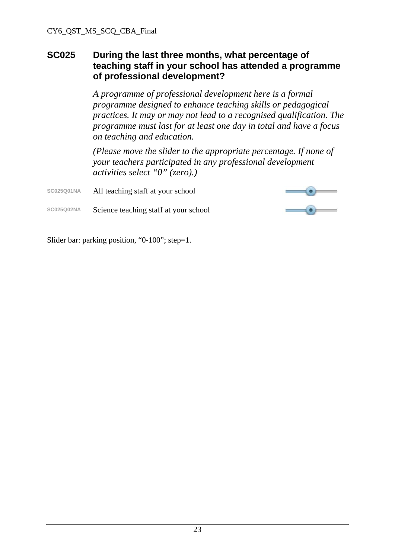#### **SC025 During the last three months, what percentage of teaching staff in your school has attended a programme of professional development?**

*A programme of professional development here is a formal programme designed to enhance teaching skills or pedagogical practices. It may or may not lead to a recognised qualification. The programme must last for at least one day in total and have a focus on teaching and education.* 

*(Please move the slider to the appropriate percentage. If none of your teachers participated in any professional development activities select "0" (zero).)* 

**SC025Q01NA** All teaching staff at your school



**SC025Q02NA** Science teaching staff at your school

Slider bar: parking position, "0-100"; step=1.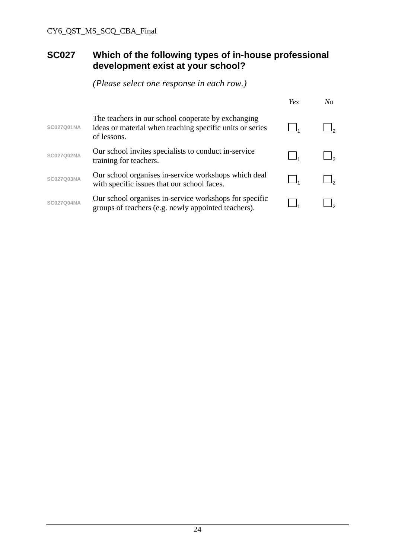### **SC027 Which of the following types of in-house professional development exist at your school?**

|                   |                                                                                                                               | Yes | No |
|-------------------|-------------------------------------------------------------------------------------------------------------------------------|-----|----|
| <b>SC027Q01NA</b> | The teachers in our school cooperate by exchanging<br>ideas or material when teaching specific units or series<br>of lessons. |     |    |
| <b>SC027Q02NA</b> | Our school invites specialists to conduct in-service<br>training for teachers.                                                |     |    |
| <b>SC027Q03NA</b> | Our school organises in-service workshops which deal<br>with specific issues that our school faces.                           |     |    |
| <b>SC027Q04NA</b> | Our school organises in-service workshops for specific<br>groups of teachers (e.g. newly appointed teachers).                 |     |    |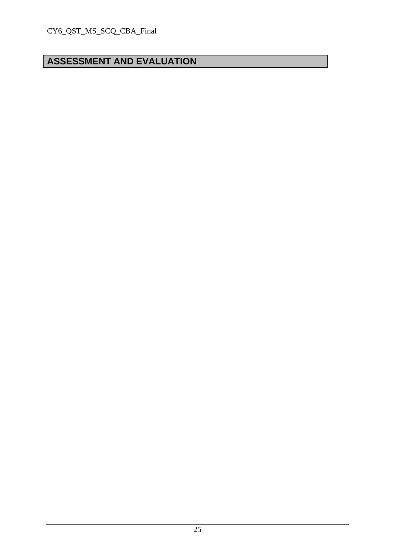## **ASSESSMENT AND EVALUATION**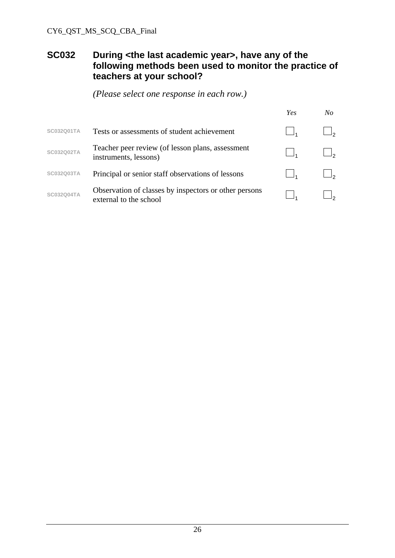#### **SC032 During <the last academic year>, have any of the following methods been used to monitor the practice of teachers at your school?**

|                   |                                                                                 | Yes | No |
|-------------------|---------------------------------------------------------------------------------|-----|----|
| SC032Q01TA        | Tests or assessments of student achievement                                     |     |    |
| <b>SC032Q02TA</b> | Teacher peer review (of lesson plans, assessment<br>instruments, lessons)       |     |    |
| SC032Q03TA        | Principal or senior staff observations of lessons                               |     |    |
| <b>SC032Q04TA</b> | Observation of classes by inspectors or other persons<br>external to the school |     |    |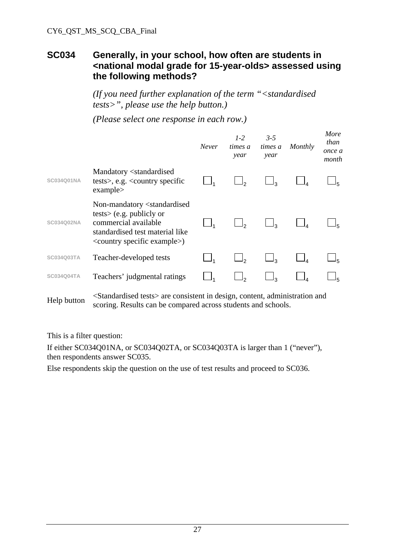#### **SC034 Generally, in your school, how often are students in <national modal grade for 15-year-olds> assessed using the following methods?**

*(If you need further explanation of the term "<standardised tests>", please use the help button.)* 

*(Please select one response in each row.)*

|                   |                                                                                                                                                                                                    | Never | $1 - 2$<br>times a<br>year | $3 - 5$<br>times a<br>year | Monthly | More<br>than<br>once a<br>month |
|-------------------|----------------------------------------------------------------------------------------------------------------------------------------------------------------------------------------------------|-------|----------------------------|----------------------------|---------|---------------------------------|
| <b>SC034O01NA</b> | Mandatory <standardised<br>tests&gt;, e.g. <math>\langle</math> country specific<br/>examples</standardised<br>                                                                                    |       |                            |                            |         |                                 |
| SC034Q02NA        | Non-mandatory <standardised<br><math>tests</math> (e.g. publicly or<br/>commercial available<br/>standardised test material like<br/><country example="" specific="">)</country></standardised<br> |       |                            |                            |         |                                 |
| SC034Q03TA        | Teacher-developed tests                                                                                                                                                                            |       |                            |                            |         |                                 |
| <b>SC034Q04TA</b> | Teachers' judgmental ratings                                                                                                                                                                       |       |                            |                            |         |                                 |
|                   |                                                                                                                                                                                                    |       |                            |                            |         |                                 |

Help button <Standardised tests> are consistent in design, content, administration and scoring. Results can be compared across students and schools.

This is a filter question:

If either SC034Q01NA, or SC034Q02TA, or SC034Q03TA is larger than 1 ("never"), then respondents answer SC035.

Else respondents skip the question on the use of test results and proceed to SC036.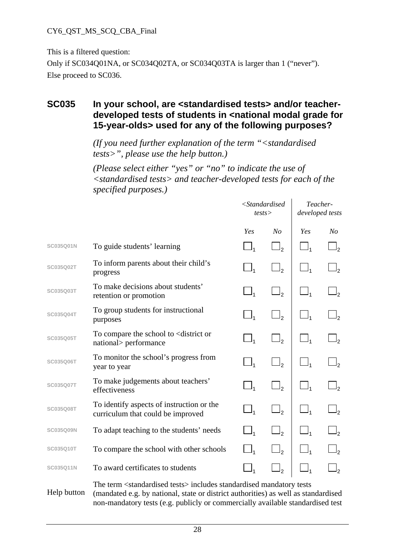#### CY6\_QST\_MS\_SCQ\_CBA\_Final

This is a filtered question:

Only if SC034Q01NA, or SC034Q02TA, or SC034Q03TA is larger than 1 ("never"). Else proceed to SC036.

#### **SC035 In your school, are <standardised tests> and/or teacherdeveloped tests of students in <national modal grade for 15-year-olds> used for any of the following purposes?**

*(If you need further explanation of the term "<standardised tests>", please use the help button.)* 

*(Please select either "yes" or "no" to indicate the use of <standardised tests> and teacher-developed tests for each of the specified purposes.)* 

|                  |                                                                                       | $<$ Standardised<br>tests        |                     | Teacher-<br>developed tests |                     |
|------------------|---------------------------------------------------------------------------------------|----------------------------------|---------------------|-----------------------------|---------------------|
|                  |                                                                                       | Yes                              | N <sub>O</sub>      | Yes                         | N <sub>O</sub>      |
| SC035Q01N        | To guide students' learning                                                           | $\Box_1$                         | $\Box_2$            |                             | $\Box_2$            |
| SC035Q02T        | To inform parents about their child's<br>progress                                     | $\_$                             | $\Box$ <sub>2</sub> |                             | $\Box$ <sub>2</sub> |
| SC035Q03T        | To make decisions about students'<br>retention or promotion                           | $\Box_1$                         | $\Box$ <sub>2</sub> |                             | $\Box$ <sub>2</sub> |
| SC035Q04T        | To group students for instructional<br>purposes                                       | $\_$                             | $\Box$ ,            |                             |                     |
| SC035Q05T        | To compare the school to <district or<br="">national&gt; performance</district>       | $\sqcup_{\scriptscriptstyle{1}}$ | $\Box_2$            |                             |                     |
| SC035Q06T        | To monitor the school's progress from<br>year to year                                 | $\Box_1$                         | $\Box_2$            | $\Box_1$                    |                     |
| SC035Q07T        | To make judgements about teachers'<br>effectiveness                                   | $\Box_1$                         | $\Box$ <sub>2</sub> | $\Box_1$                    | $\Box$ <sub>2</sub> |
| SC035Q08T        | To identify aspects of instruction or the<br>curriculum that could be improved        |                                  | $\Box_2$            |                             | $\Box$              |
| <b>SC035Q09N</b> | To adapt teaching to the students' needs                                              |                                  | $\Box$ <sub>2</sub> |                             | $\Box$              |
| SC035Q10T        | To compare the school with other schools                                              |                                  | $\Box$              |                             |                     |
| SC035Q11N        | To award certificates to students                                                     | $\Box_1$                         | $\mathbb{L}_2$      |                             |                     |
|                  | The term <standardised tests=""> includes standardised mandatory tests</standardised> |                                  |                     |                             |                     |

Help button (mandated e.g. by national, state or district authorities) as well as standardised non-mandatory tests (e.g. publicly or commercially available standardised test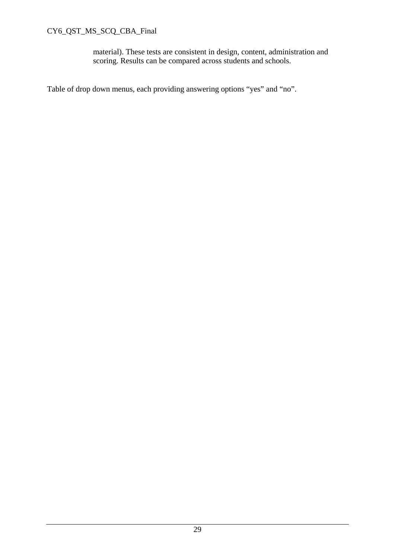#### CY6\_QST\_MS\_SCQ\_CBA\_Final

material). These tests are consistent in design, content, administration and scoring. Results can be compared across students and schools.

Table of drop down menus, each providing answering options "yes" and "no".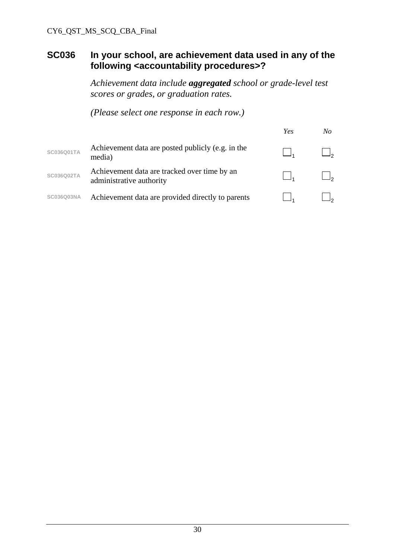#### **SC036 In your school, are achievement data used in any of the following <accountability procedures>?**

*Achievement data include aggregated school or grade-level test scores or grades, or graduation rates.* 

|                   |                                                                          | Yes | N o |
|-------------------|--------------------------------------------------------------------------|-----|-----|
| SC036Q01TA        | Achievement data are posted publicly (e.g. in the<br>media)              |     |     |
| SC036Q02TA        | Achievement data are tracked over time by an<br>administrative authority |     |     |
| <b>SC036Q03NA</b> | Achievement data are provided directly to parents                        |     |     |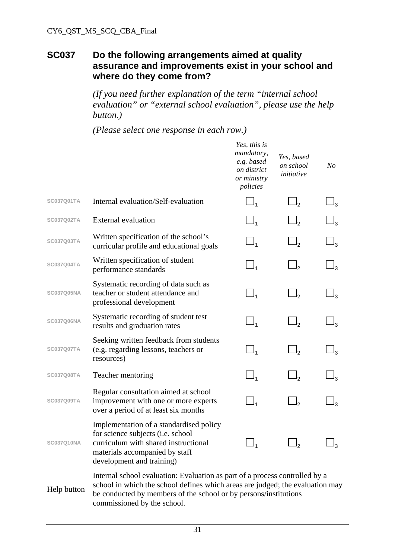#### **SC037 Do the following arrangements aimed at quality assurance and improvements exist in your school and where do they come from?**

*(If you need further explanation of the term "internal school evaluation" or "external school evaluation", please use the help button.)* 

*(Please select one response in each row.)* 

|                   |                                                                                                                                                                                                                                  | Yes, this is<br>mandatory,<br>e.g. based<br>on district<br>or ministry<br>policies | Yes, based<br>on school<br>initiative | N <sub>o</sub> |
|-------------------|----------------------------------------------------------------------------------------------------------------------------------------------------------------------------------------------------------------------------------|------------------------------------------------------------------------------------|---------------------------------------|----------------|
| SC037Q01TA        | Internal evaluation/Self-evaluation                                                                                                                                                                                              | $\Box_1$                                                                           |                                       | $\Box_3$       |
| <b>SC037Q02TA</b> | <b>External evaluation</b>                                                                                                                                                                                                       |                                                                                    | $\mathsf{l}_2$                        |                |
| <b>SC037Q03TA</b> | Written specification of the school's<br>curricular profile and educational goals                                                                                                                                                | $\Box_1$                                                                           | $\Box$                                | $\sqcup_3$     |
| SC037Q04TA        | Written specification of student<br>performance standards                                                                                                                                                                        | $\Box_1$                                                                           | $\Box_2$                              | $\sqcup_3$     |
| <b>SC037Q05NA</b> | Systematic recording of data such as<br>teacher or student attendance and<br>professional development                                                                                                                            | $\Box_1$                                                                           | $\Box$                                |                |
| <b>SC037Q06NA</b> | Systematic recording of student test<br>results and graduation rates                                                                                                                                                             | $\Box_1$                                                                           | $\Box$ ,                              | $I_3$          |
| <b>SC037Q07TA</b> | Seeking written feedback from students<br>(e.g. regarding lessons, teachers or<br>resources)                                                                                                                                     | $\Box_1$                                                                           | $\Box_2$                              | $\Box_3$       |
| <b>SC037Q08TA</b> | Teacher mentoring                                                                                                                                                                                                                | $\Box_1$                                                                           | $\Box$ ,                              | $\Box_3$       |
| <b>SC037Q09TA</b> | Regular consultation aimed at school<br>improvement with one or more experts<br>over a period of at least six months                                                                                                             | $\Box_1$                                                                           | $\Box$                                |                |
| <b>SC037Q10NA</b> | Implementation of a standardised policy<br>for science subjects ( <i>i.e.</i> school<br>curriculum with shared instructional<br>materials accompanied by staff<br>development and training)                                      |                                                                                    |                                       | ßِا            |
| Help button       | Internal school evaluation: Evaluation as part of a process controlled by a<br>school in which the school defines which areas are judged; the evaluation may<br>be conducted by members of the school or by persons/institutions |                                                                                    |                                       |                |

commissioned by the school.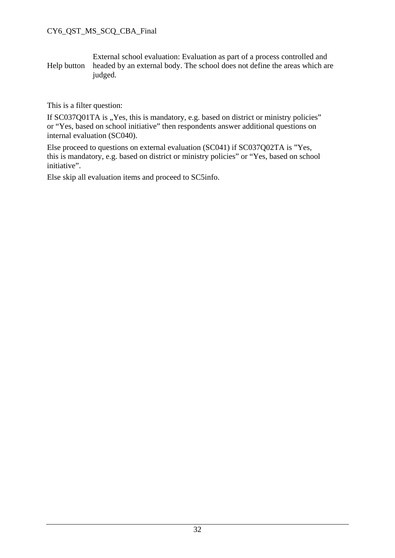Help button External school evaluation: Evaluation as part of a process controlled and headed by an external body. The school does not define the areas which are judged.

This is a filter question:

If SC037Q01TA is "Yes, this is mandatory, e.g. based on district or ministry policies" or "Yes, based on school initiative" then respondents answer additional questions on internal evaluation (SC040).

Else proceed to questions on external evaluation (SC041) if SC037Q02TA is "Yes, this is mandatory, e.g. based on district or ministry policies" or "Yes, based on school initiative".

Else skip all evaluation items and proceed to SC5info.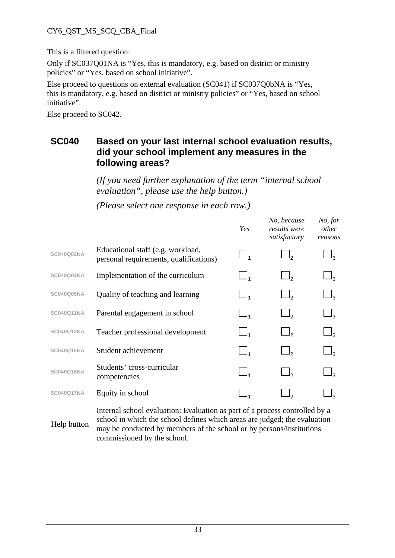#### CY6\_QST\_MS\_SCQ\_CBA\_Final

This is a filtered question:

Only if SC037Q01NA is "Yes, this is mandatory, e.g. based on district or ministry policies" or "Yes, based on school initiative".

Else proceed to questions on external evaluation (SC041) if SC037Q0bNA is "Yes, this is mandatory, e.g. based on district or ministry policies" or "Yes, based on school initiative".

Else proceed to SC042.

#### **SC040 Based on your last internal school evaluation results, did your school implement any measures in the following areas?**

*(If you need further explanation of the term "internal school evaluation", please use the help button.)* 

*(Please select one response in each row.)*

|                   |                                                                              | Yes      | No, because<br>results were<br>satisfactory | No, for<br>other<br>reasons |
|-------------------|------------------------------------------------------------------------------|----------|---------------------------------------------|-----------------------------|
| <b>SC040Q02NA</b> | Educational staff (e.g. workload,<br>personal requirements, qualifications)  | $\_$     | $\mathcal{L}$                               |                             |
| <b>SC040Q03NA</b> | Implementation of the curriculum                                             | $\Box_1$ | l,                                          | ┙╕                          |
| <b>SC040Q05NA</b> | Quality of teaching and learning                                             | $\Box_1$ | $\Box$                                      | $\Box_3$                    |
| <b>SC040Q11NA</b> | Parental engagement in school                                                | $\Box_1$ | $\Box$ <sub>2</sub>                         | $\Box_3$                    |
| <b>SC040Q12NA</b> | Teacher professional development                                             | $\Box_1$ |                                             | $\Box_3$                    |
| <b>SC040Q15NA</b> | Student achievement                                                          | $\Box_1$ | $\Box$                                      | $\sqcup_{3}$                |
| SC040Q16NA        | Students' cross-curricular<br>competencies                                   | $\Box_1$ |                                             |                             |
| <b>SC040Q17NA</b> | Equity in school                                                             |          |                                             |                             |
|                   | Integral colored evidentian. Evidentian company of a nucleon controlled by a |          |                                             |                             |

Help button Internal school evaluation: Evaluation as part of a process controlled by a school in which the school defines which areas are judged; the evaluation may be conducted by members of the school or by persons/institutions commissioned by the school.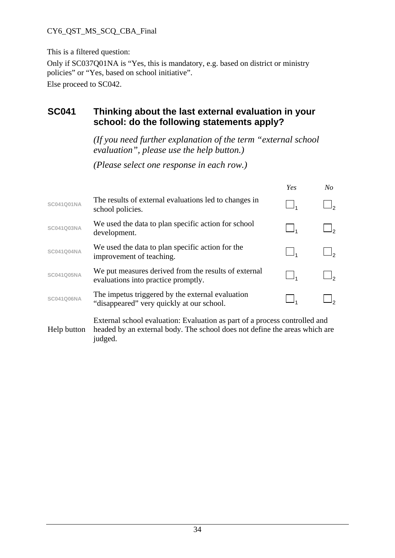#### CY6\_QST\_MS\_SCQ\_CBA\_Final

This is a filtered question:

Only if SC037Q01NA is "Yes, this is mandatory, e.g. based on district or ministry policies" or "Yes, based on school initiative".

Else proceed to SC042.

#### **SC041 Thinking about the last external evaluation in your school: do the following statements apply?**

*(If you need further explanation of the term "external school evaluation", please use the help button.)* 

*(Please select one response in each row.)* 

|                   |                                                                                               | Yes | No |
|-------------------|-----------------------------------------------------------------------------------------------|-----|----|
| <b>SC041Q01NA</b> | The results of external evaluations led to changes in<br>school policies.                     |     |    |
| SC041Q03NA        | We used the data to plan specific action for school<br>development.                           |     |    |
| <b>SC041Q04NA</b> | We used the data to plan specific action for the<br>improvement of teaching.                  |     |    |
| <b>SC041Q05NA</b> | We put measures derived from the results of external<br>evaluations into practice promptly.   |     |    |
| <b>SC041Q06NA</b> | The impetus triggered by the external evaluation<br>"disappeared" very quickly at our school. |     |    |
|                   |                                                                                               |     |    |

Help button External school evaluation: Evaluation as part of a process controlled and headed by an external body. The school does not define the areas which are judged.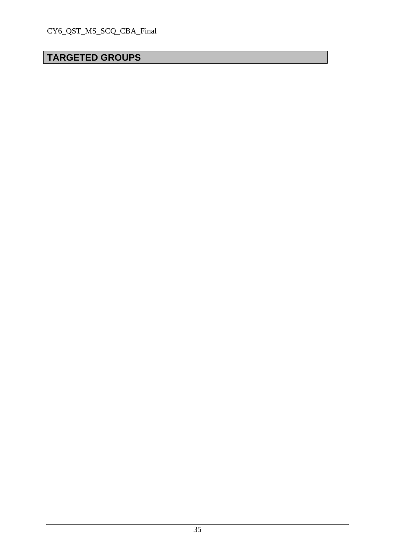## **TARGETED GROUPS**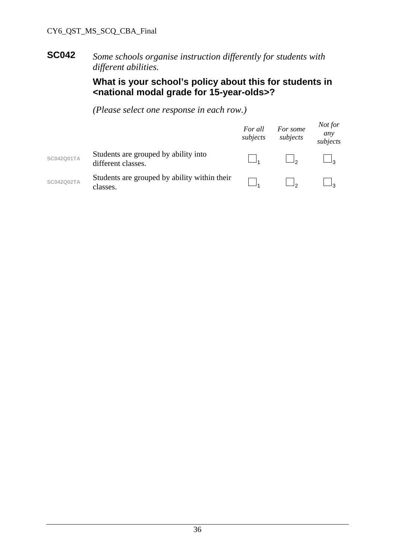#### **SC042** *Some schools organise instruction differently for students with different abilities.*

#### **What is your school's policy about this for students in <national modal grade for 15-year-olds>?**

|                   |                                                            | For all<br>subjects | For some<br>subjects | Not for<br>any<br>subjects |
|-------------------|------------------------------------------------------------|---------------------|----------------------|----------------------------|
| <b>SC042Q01TA</b> | Students are grouped by ability into<br>different classes. |                     |                      |                            |
| <b>SC042Q02TA</b> | Students are grouped by ability within their<br>classes.   |                     |                      |                            |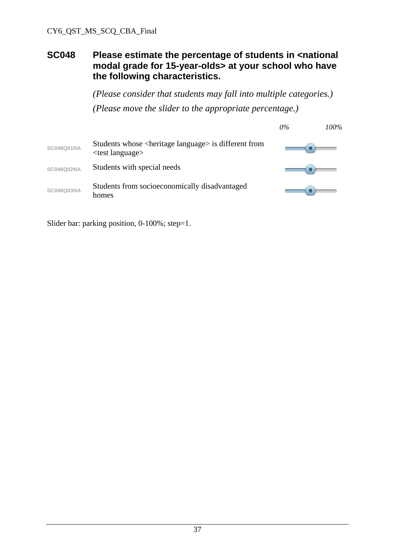#### **SC048 Please estimate the percentage of students in <national modal grade for 15-year-olds> at your school who have the following characteristics.**

*(Please consider that students may fall into multiple categories.) (Please move the slider to the appropriate percentage.)* 

|                   |                                                                                                                        | $0\%$ | 100% |
|-------------------|------------------------------------------------------------------------------------------------------------------------|-------|------|
| <b>SC048Q01NA</b> | Students whose <heritage language=""> is different from<br/><math>\epsilon</math> <test language=""></test></heritage> |       |      |
| SC048Q02NA        | Students with special needs                                                                                            |       |      |
| SC048Q03NA        | Students from socioeconomically disadvantaged<br>homes                                                                 |       |      |

Slider bar: parking position, 0-100%; step=1.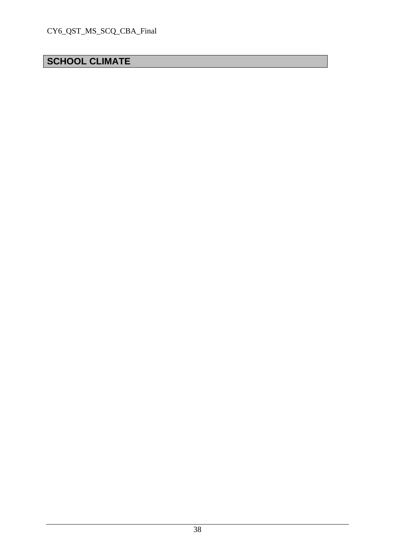## **SCHOOL CLIMATE**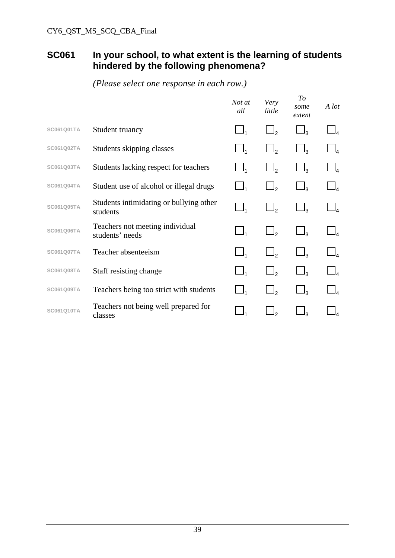#### **SC061 In your school, to what extent is the learning of students hindered by the following phenomena?**

|                   |                                                     | Not at<br>all | Very<br>little | To<br>some<br>extent | A lot |
|-------------------|-----------------------------------------------------|---------------|----------------|----------------------|-------|
| SC061Q01TA        | Student truancy                                     |               | $\Box$         | $\Box_3$             |       |
| <b>SC061Q02TA</b> | Students skipping classes                           |               | $\Box$         | $\Box_3$             |       |
| SC061Q03TA        | Students lacking respect for teachers               |               | $\Box$         | $\Box_3$             |       |
| <b>SC061Q04TA</b> | Student use of alcohol or illegal drugs             |               | $\mathsf{I}_2$ | ج ل                  |       |
| <b>SC061Q05TA</b> | Students intimidating or bullying other<br>students |               | $\Box$         | $\Box_3$             |       |
| <b>SC061Q06TA</b> | Teachers not meeting individual<br>students' needs  | $\Box$        | $\Box$         | $\Box_3$             |       |
| <b>SC061Q07TA</b> | Teacher absenteeism                                 |               | $\Box$         | $\Box_3$             |       |
| SC061Q08TA        | Staff resisting change                              |               |                |                      |       |
| SC061Q09TA        | Teachers being too strict with students             |               | $\overline{2}$ | $\mathsf{l}_3$       |       |
| SC061Q10TA        | Teachers not being well prepared for<br>classes     |               |                | $\vert$ 3            |       |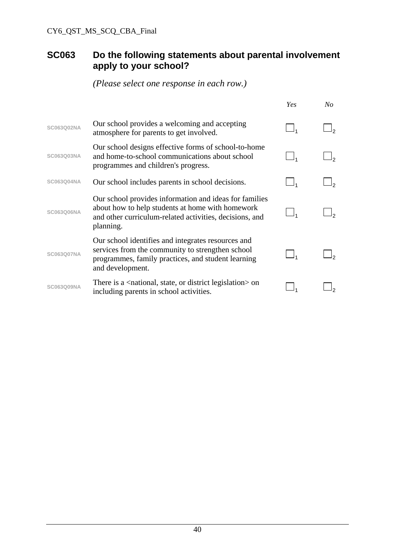## **SC063 Do the following statements about parental involvement apply to your school?**

|                   |                                                                                                                                                                                    | Yes | $N_{O}$ |
|-------------------|------------------------------------------------------------------------------------------------------------------------------------------------------------------------------------|-----|---------|
| SC063Q02NA        | Our school provides a welcoming and accepting<br>atmosphere for parents to get involved.                                                                                           |     |         |
| SC063Q03NA        | Our school designs effective forms of school-to-home<br>and home-to-school communications about school<br>programmes and children's progress.                                      |     |         |
| SC063Q04NA        | Our school includes parents in school decisions.                                                                                                                                   |     |         |
| SC063Q06NA        | Our school provides information and ideas for families<br>about how to help students at home with homework<br>and other curriculum-related activities, decisions, and<br>planning. |     |         |
| <b>SC063Q07NA</b> | Our school identifies and integrates resources and<br>services from the community to strengthen school<br>programmes, family practices, and student learning<br>and development.   |     |         |
| SC063Q09NA        | There is a $\alpha$ ational, state, or district legislation $\alpha$ on<br>including parents in school activities.                                                                 |     |         |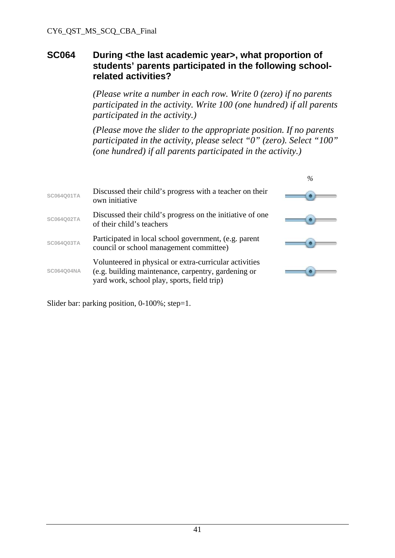#### **SC064 During <the last academic year>, what proportion of students' parents participated in the following schoolrelated activities?**

 *(Please write a number in each row. Write 0 (zero) if no parents participated in the activity. Write 100 (one hundred) if all parents participated in the activity.)* 

*(Please move the slider to the appropriate position. If no parents participated in the activity, please select "0" (zero). Select "100" (one hundred) if all parents participated in the activity.)* 

|                   |                                                                                                                                                              | $\%$ |
|-------------------|--------------------------------------------------------------------------------------------------------------------------------------------------------------|------|
| <b>SC064Q01TA</b> | Discussed their child's progress with a teacher on their<br>own initiative                                                                                   |      |
| <b>SC064Q02TA</b> | Discussed their child's progress on the initiative of one<br>of their child's teachers                                                                       |      |
| SC064Q03TA        | Participated in local school government, (e.g. parent<br>council or school management committee)                                                             |      |
| <b>SC064Q04NA</b> | Volunteered in physical or extra-curricular activities<br>(e.g. building maintenance, carpentry, gardening or<br>yard work, school play, sports, field trip) |      |

Slider bar: parking position, 0-100%; step=1.